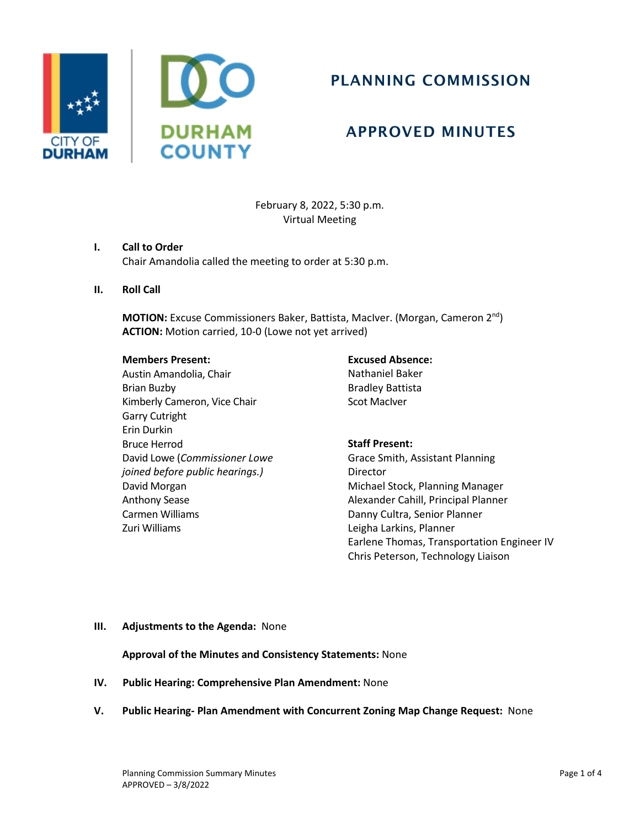



# PLANNING COMMISSION

## APPROVED MINUTES

February 8, 2022, 5:30 p.m. Virtual Meeting

## **I. Call to Order**

Chair Amandolia called the meeting to order at 5:30 p.m.

**II. Roll Call**

**MOTION:** Excuse Commissioners Baker, Battista, MacIver. (Morgan, Cameron 2<sup>nd</sup>) **ACTION:** Motion carried, 10-0 (Lowe not yet arrived)

#### **Members Present:**

Austin Amandolia, Chair Brian Buzby Kimberly Cameron, Vice Chair Garry Cutright Erin Durkin Bruce Herrod David Lowe (*Commissioner Lowe joined before public hearings.)* David Morgan Anthony Sease Carmen Williams Zuri Williams

**Excused Absence:** Nathaniel Baker Bradley Battista Scot MacIver

## **Staff Present:**

Grace Smith, Assistant Planning Director Michael Stock, Planning Manager Alexander Cahill, Principal Planner Danny Cultra, Senior Planner Leigha Larkins, Planner Earlene Thomas, Transportation Engineer IV Chris Peterson, Technology Liaison

## **III. Adjustments to the Agenda:** None

**Approval of the Minutes and Consistency Statements:** None

- **IV. Public Hearing: Comprehensive Plan Amendment:** None
- **V. Public Hearing- Plan Amendment with Concurrent Zoning Map Change Request:** None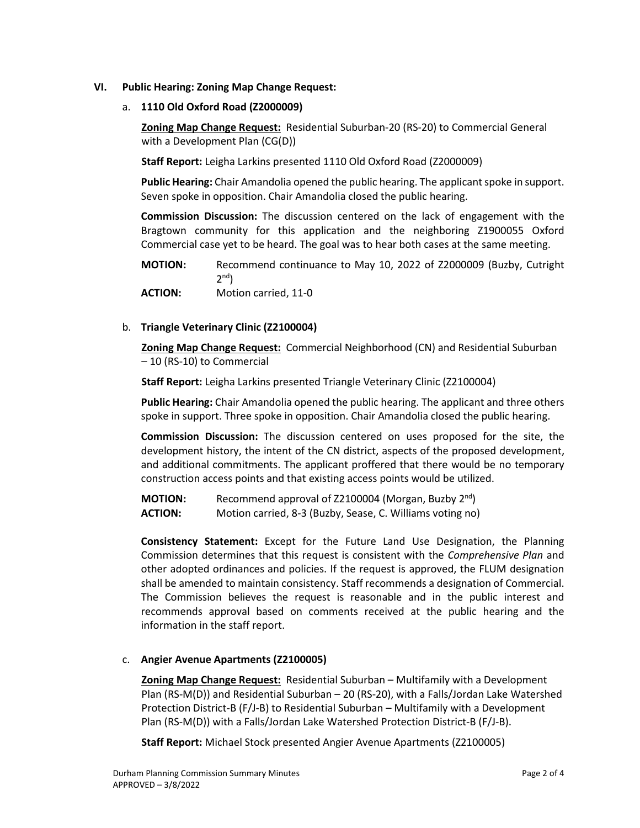## **VI. Public Hearing: Zoning Map Change Request:**

### a. **1110 Old Oxford Road (Z2000009)**

**Zoning Map Change Request:** Residential Suburban-20 (RS-20) to Commercial General with a Development Plan (CG(D))

**Staff Report:** Leigha Larkins presented 1110 Old Oxford Road (Z2000009)

**Public Hearing:** Chair Amandolia opened the public hearing. The applicant spoke in support. Seven spoke in opposition. Chair Amandolia closed the public hearing.

**Commission Discussion:** The discussion centered on the lack of engagement with the Bragtown community for this application and the neighboring Z1900055 Oxford Commercial case yet to be heard. The goal was to hear both cases at the same meeting.

**MOTION:** Recommend continuance to May 10, 2022 of Z2000009 (Buzby, Cutright  $2^{nd}$ **ACTION:** Motion carried, 11-0

b. **Triangle Veterinary Clinic (Z2100004)**

**Zoning Map Change Request:** Commercial Neighborhood (CN) and Residential Suburban – 10 (RS-10) to Commercial

**Staff Report:** Leigha Larkins presented Triangle Veterinary Clinic (Z2100004)

**Public Hearing:** Chair Amandolia opened the public hearing. The applicant and three others spoke in support. Three spoke in opposition. Chair Amandolia closed the public hearing.

**Commission Discussion:** The discussion centered on uses proposed for the site, the development history, the intent of the CN district, aspects of the proposed development, and additional commitments. The applicant proffered that there would be no temporary construction access points and that existing access points would be utilized.

**MOTION:** Recommend approval of Z2100004 (Morgan, Buzby 2<sup>nd</sup>) **ACTION:** Motion carried, 8-3 (Buzby, Sease, C. Williams voting no)

**Consistency Statement:** Except for the Future Land Use Designation, the Planning Commission determines that this request is consistent with the *Comprehensive Plan* and other adopted ordinances and policies. If the request is approved, the FLUM designation shall be amended to maintain consistency. Staff recommends a designation of Commercial. The Commission believes the request is reasonable and in the public interest and recommends approval based on comments received at the public hearing and the information in the staff report.

## c. **Angier Avenue Apartments (Z2100005)**

**Zoning Map Change Request:** Residential Suburban – Multifamily with a Development Plan (RS-M(D)) and Residential Suburban – 20 (RS-20), with a Falls/Jordan Lake Watershed Protection District-B (F/J-B) to Residential Suburban – Multifamily with a Development Plan (RS-M(D)) with a Falls/Jordan Lake Watershed Protection District-B (F/J-B).

**Staff Report:** Michael Stock presented Angier Avenue Apartments (Z2100005)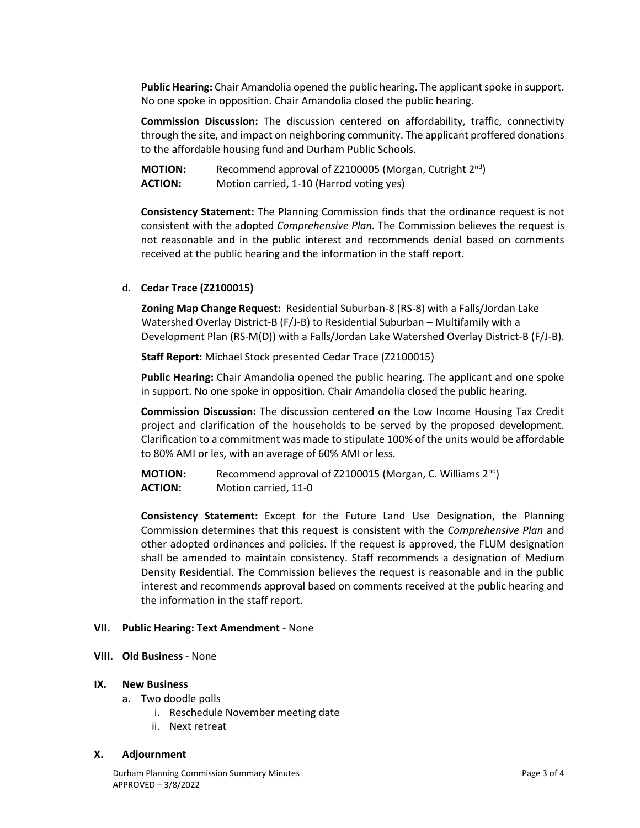**Public Hearing:** Chair Amandolia opened the public hearing. The applicant spoke in support. No one spoke in opposition. Chair Amandolia closed the public hearing.

**Commission Discussion:** The discussion centered on affordability, traffic, connectivity through the site, and impact on neighboring community. The applicant proffered donations to the affordable housing fund and Durham Public Schools.

| <b>MOTION:</b> | Recommend approval of Z2100005 (Morgan, Cutright 2 <sup>nd</sup> ) |
|----------------|--------------------------------------------------------------------|
| <b>ACTION:</b> | Motion carried, 1-10 (Harrod voting yes)                           |

**Consistency Statement:** The Planning Commission finds that the ordinance request is not consistent with the adopted *Comprehensive Plan.* The Commission believes the request is not reasonable and in the public interest and recommends denial based on comments received at the public hearing and the information in the staff report.

### d. **Cedar Trace (Z2100015)**

**Zoning Map Change Request:** Residential Suburban-8 (RS-8) with a Falls/Jordan Lake Watershed Overlay District-B (F/J-B) to Residential Suburban – Multifamily with a Development Plan (RS-M(D)) with a Falls/Jordan Lake Watershed Overlay District-B (F/J-B).

**Staff Report:** Michael Stock presented Cedar Trace (Z2100015)

**Public Hearing:** Chair Amandolia opened the public hearing. The applicant and one spoke in support. No one spoke in opposition. Chair Amandolia closed the public hearing.

**Commission Discussion:** The discussion centered on the Low Income Housing Tax Credit project and clarification of the households to be served by the proposed development. Clarification to a commitment was made to stipulate 100% of the units would be affordable to 80% AMI or les, with an average of 60% AMI or less.

**MOTION:** Recommend approval of Z2100015 (Morgan, C. Williams 2<sup>nd</sup>) **ACTION:** Motion carried, 11-0

**Consistency Statement:** Except for the Future Land Use Designation, the Planning Commission determines that this request is consistent with the *Comprehensive Plan* and other adopted ordinances and policies. If the request is approved, the FLUM designation shall be amended to maintain consistency. Staff recommends a designation of Medium Density Residential. The Commission believes the request is reasonable and in the public interest and recommends approval based on comments received at the public hearing and the information in the staff report.

#### **VII. Public Hearing: Text Amendment** - None

#### **VIII. Old Business** - None

#### **IX. New Business**

- a. Two doodle polls
	- i. Reschedule November meeting date
	- ii. Next retreat

#### **X. Adjournment**